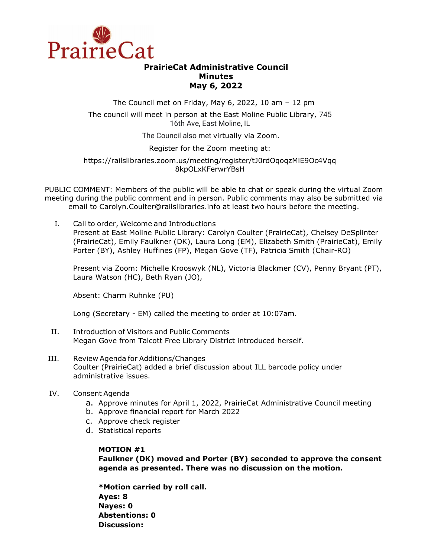

# **PrairieCat Administrative Council Minutes May 6, 2022**

The Council met on Friday, May 6, 2022, 10 am – 12 pm

The council will meet in person at the East Moline Public Library, 745 16th Ave, East Moline, IL

The Council also met virtually via Zoom.

Register for the Zoom meeting at:

https://railslibraries.zoom.us/meeting/register/tJ0rdOqoqzMiE9Oc4Vqq 8kpOLxKFerwrYBsH

PUBLIC COMMENT: Members of the public will be able to chat or speak during the virtual Zoom meeting during the public comment and in person. Public comments may also be submitted via email to Carolyn.Coulter@railslibraries.info at least two hours before the meeting.

I. Call to order, Welcome and Introductions Present at East Moline Public Library: Carolyn Coulter (PrairieCat), Chelsey DeSplinter (PrairieCat), Emily Faulkner (DK), Laura Long (EM), Elizabeth Smith (PrairieCat), Emily Porter (BY), Ashley Huffines (FP), Megan Gove (TF), Patricia Smith (Chair-RO)

Present via Zoom: Michelle Krooswyk (NL), Victoria Blackmer (CV), Penny Bryant (PT), Laura Watson (HC), Beth Ryan (JO),

Absent: Charm Ruhnke (PU)

Long (Secretary - EM) called the meeting to order at 10:07am.

- II. Introduction of Visitors and Public Comments Megan Gove from Talcott Free Library District introduced herself.
- III. Review Agenda for Additions/Changes Coulter (PrairieCat) added a brief discussion about ILL barcode policy under administrative issues.
- IV. Consent Agenda
	- a. Approve minutes for April 1, 2022, PrairieCat Administrative Council meeting
	- b. Approve financial report for March 2022
	- c. Approve check register
	- d. Statistical reports

### **MOTION #1**

**Faulkner (DK) moved and Porter (BY) seconded to approve the consent agenda as presented. There was no discussion on the motion.** 

**\*Motion carried by roll call. Ayes: 8 Nayes: 0 Abstentions: 0 Discussion:**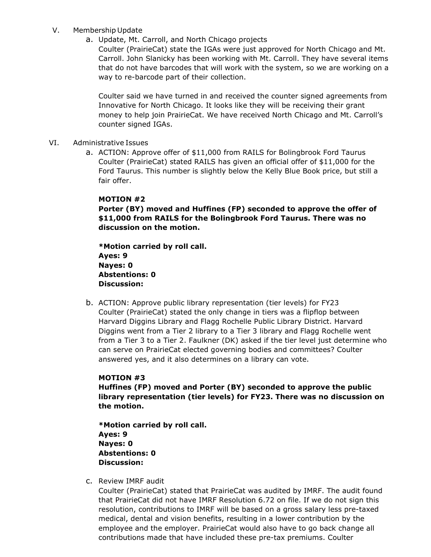### V. Membership Update

a. Update, Mt. Carroll, and North Chicago projects

Coulter (PrairieCat) state the IGAs were just approved for North Chicago and Mt. Carroll. John Slanicky has been working with Mt. Carroll. They have several items that do not have barcodes that will work with the system, so we are working on a way to re-barcode part of their collection.

Coulter said we have turned in and received the counter signed agreements from Innovative for North Chicago. It looks like they will be receiving their grant money to help join PrairieCat. We have received North Chicago and Mt. Carroll's counter signed IGAs.

- VI. Administrative Issues
	- a. ACTION: Approve offer of \$11,000 from RAILS for Bolingbrook Ford Taurus Coulter (PrairieCat) stated RAILS has given an official offer of \$11,000 for the Ford Taurus. This number is slightly below the Kelly Blue Book price, but still a fair offer.

### **MOTION #2**

**Porter (BY) moved and Huffines (FP) seconded to approve the offer of \$11,000 from RAILS for the Bolingbrook Ford Taurus. There was no discussion on the motion.** 

**\*Motion carried by roll call. Ayes: 9 Nayes: 0 Abstentions: 0 Discussion:**

b. ACTION: Approve public library representation (tier levels) for FY23 Coulter (PrairieCat) stated the only change in tiers was a flipflop between Harvard Diggins Library and Flagg Rochelle Public Library District. Harvard Diggins went from a Tier 2 library to a Tier 3 library and Flagg Rochelle went from a Tier 3 to a Tier 2. Faulkner (DK) asked if the tier level just determine who can serve on PrairieCat elected governing bodies and committees? Coulter answered yes, and it also determines on a library can vote.

## **MOTION #3**

**Huffines (FP) moved and Porter (BY) seconded to approve the public library representation (tier levels) for FY23. There was no discussion on the motion.** 

**\*Motion carried by roll call. Ayes: 9 Nayes: 0 Abstentions: 0 Discussion:**

c. Review IMRF audit

Coulter (PrairieCat) stated that PrairieCat was audited by IMRF. The audit found that PrairieCat did not have IMRF Resolution 6.72 on file. If we do not sign this resolution, contributions to IMRF will be based on a gross salary less pre-taxed medical, dental and vision benefits, resulting in a lower contribution by the employee and the employer. PrairieCat would also have to go back change all contributions made that have included these pre-tax premiums. Coulter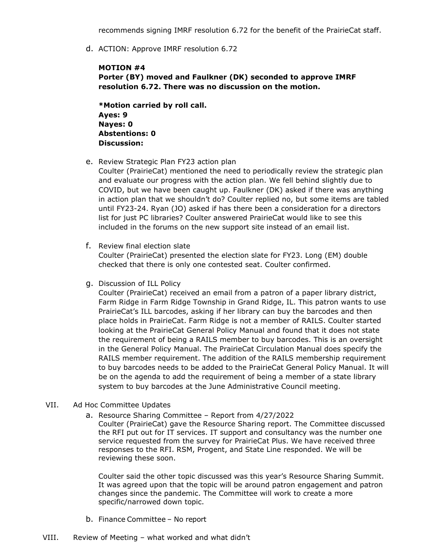recommends signing IMRF resolution 6.72 for the benefit of the PrairieCat staff.

d. ACTION: Approve IMRF resolution 6.72

### **MOTION #4**

**Porter (BY) moved and Faulkner (DK) seconded to approve IMRF resolution 6.72. There was no discussion on the motion.** 

**\*Motion carried by roll call. Ayes: 9 Nayes: 0 Abstentions: 0 Discussion:**

e. Review Strategic Plan FY23 action plan

Coulter (PrairieCat) mentioned the need to periodically review the strategic plan and evaluate our progress with the action plan. We fell behind slightly due to COVID, but we have been caught up. Faulkner (DK) asked if there was anything in action plan that we shouldn't do? Coulter replied no, but some items are tabled until FY23-24. Ryan (JO) asked if has there been a consideration for a directors list for just PC libraries? Coulter answered PrairieCat would like to see this included in the forums on the new support site instead of an email list.

f. Review final election slate

Coulter (PrairieCat) presented the election slate for FY23. Long (EM) double checked that there is only one contested seat. Coulter confirmed.

g. Discussion of ILL Policy

Coulter (PrairieCat) received an email from a patron of a paper library district, Farm Ridge in Farm Ridge Township in Grand Ridge, IL. This patron wants to use PrairieCat's ILL barcodes, asking if her library can buy the barcodes and then place holds in PrairieCat. Farm Ridge is not a member of RAILS. Coulter started looking at the PrairieCat General Policy Manual and found that it does not state the requirement of being a RAILS member to buy barcodes. This is an oversight in the General Policy Manual. The PrairieCat Circulation Manual does specify the RAILS member requirement. The addition of the RAILS membership requirement to buy barcodes needs to be added to the PrairieCat General Policy Manual. It will be on the agenda to add the requirement of being a member of a state library system to buy barcodes at the June Administrative Council meeting.

#### VII. Ad Hoc Committee Updates

a. Resource Sharing Committee – Report from 4/27/2022

Coulter (PrairieCat) gave the Resource Sharing report. The Committee discussed the RFI put out for IT services. IT support and consultancy was the number one service requested from the survey for PrairieCat Plus. We have received three responses to the RFI. RSM, Progent, and State Line responded. We will be reviewing these soon.

Coulter said the other topic discussed was this year's Resource Sharing Summit. It was agreed upon that the topic will be around patron engagement and patron changes since the pandemic. The Committee will work to create a more specific/narrowed down topic.

- b. Finance Committee No report
- VIII. Review of Meeting what worked and what didn't